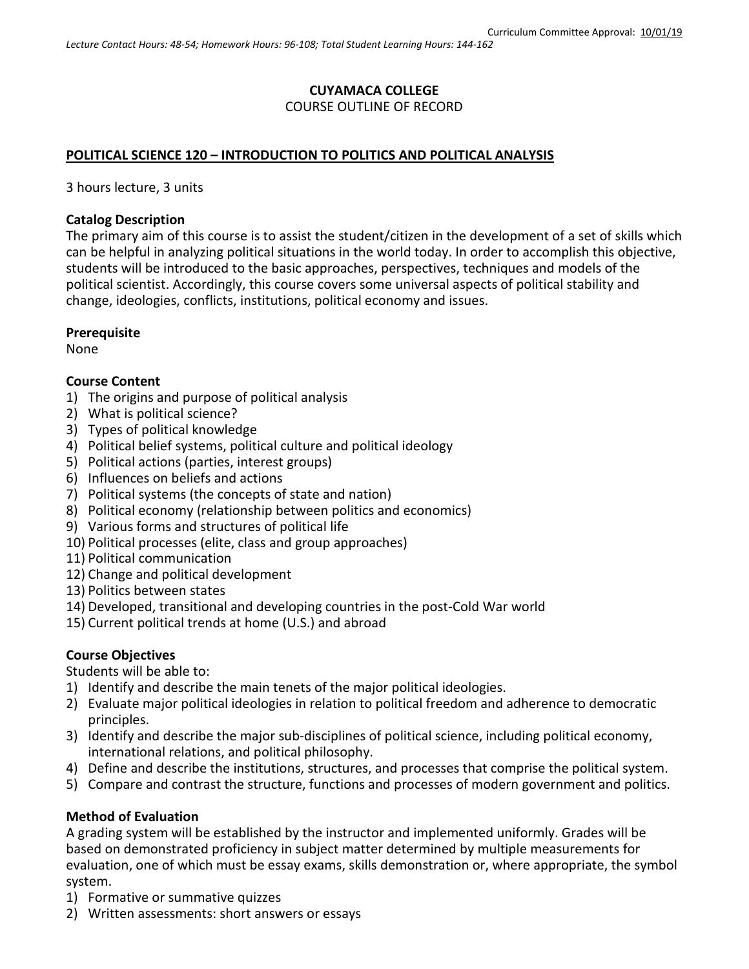# **CUYAMACA COLLEGE** COURSE OUTLINE OF RECORD

### **POLITICAL SCIENCE 120 – INTRODUCTION TO POLITICS AND POLITICAL ANALYSIS**

3 hours lecture, 3 units

#### **Catalog Description**

The primary aim of this course is to assist the student/citizen in the development of a set of skills which can be helpful in analyzing political situations in the world today. In order to accomplish this objective, students will be introduced to the basic approaches, perspectives, techniques and models of the political scientist. Accordingly, this course covers some universal aspects of political stability and change, ideologies, conflicts, institutions, political economy and issues.

### **Prerequisite**

None

### **Course Content**

- 1) The origins and purpose of political analysis
- 2) What is political science?
- 3) Types of political knowledge
- 4) Political belief systems, political culture and political ideology
- 5) Political actions (parties, interest groups)
- 6) Influences on beliefs and actions
- 7) Political systems (the concepts of state and nation)
- 8) Political economy (relationship between politics and economics)
- 9) Various forms and structures of political life
- 10) Political processes (elite, class and group approaches)
- 11) Political communication
- 12) Change and political development
- 13) Politics between states
- 14) Developed, transitional and developing countries in the post-Cold War world
- 15) Current political trends at home (U.S.) and abroad

### **Course Objectives**

Students will be able to:

- 1) Identify and describe the main tenets of the major political ideologies.
- 2) Evaluate major political ideologies in relation to political freedom and adherence to democratic principles.
- 3) Identify and describe the major sub-disciplines of political science, including political economy, international relations, and political philosophy.
- 4) Define and describe the institutions, structures, and processes that comprise the political system.
- 5) Compare and contrast the structure, functions and processes of modern government and politics.

### **Method of Evaluation**

A grading system will be established by the instructor and implemented uniformly. Grades will be based on demonstrated proficiency in subject matter determined by multiple measurements for evaluation, one of which must be essay exams, skills demonstration or, where appropriate, the symbol system.

- 1) Formative or summative quizzes
- 2) Written assessments: short answers or essays